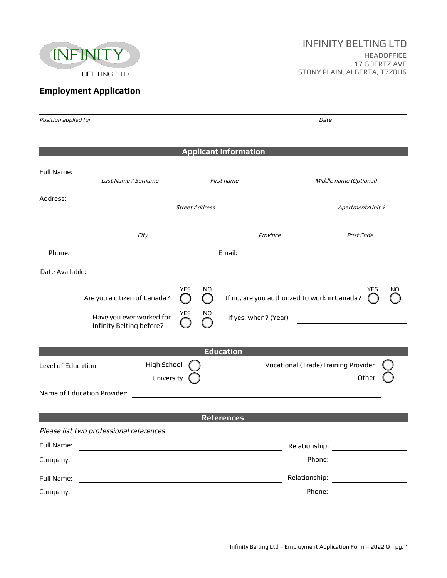

## **Employment Application**

| Position applied for                                                      |                                                                                                                                             |                       | Date                         |                                                            |  |
|---------------------------------------------------------------------------|---------------------------------------------------------------------------------------------------------------------------------------------|-----------------------|------------------------------|------------------------------------------------------------|--|
|                                                                           |                                                                                                                                             |                       |                              |                                                            |  |
|                                                                           |                                                                                                                                             |                       | <b>Applicant Information</b> |                                                            |  |
|                                                                           |                                                                                                                                             |                       |                              |                                                            |  |
| Full Name:                                                                | <u> 1980 - Johann Barn, mars ann an t-Amhain Aonaich an t-Aonaich an t-Aonaich ann an t-Aonaich ann an t-Aonaich</u><br>Last Name / Surname | First name            |                              | Middle name (Optional)                                     |  |
| Address:                                                                  |                                                                                                                                             |                       |                              |                                                            |  |
|                                                                           |                                                                                                                                             | <b>Street Address</b> |                              | Apartment/Unit #                                           |  |
|                                                                           |                                                                                                                                             |                       |                              |                                                            |  |
|                                                                           | City                                                                                                                                        |                       | Province                     | Post Code                                                  |  |
| Phone:                                                                    | <u> 2008 - Andrea Andrew Maria (h. 18</u>                                                                                                   |                       |                              |                                                            |  |
| Date Available:                                                           |                                                                                                                                             |                       |                              |                                                            |  |
|                                                                           | <u> 1989 - Johann Barbara, martin a</u>                                                                                                     |                       |                              |                                                            |  |
|                                                                           | Are you a citizen of Canada?                                                                                                                | <b>YES</b><br>NO.     |                              | YES<br>NO.<br>If no, are you authorized to work in Canada? |  |
|                                                                           | Have you ever worked for                                                                                                                    | <b>YES</b><br>NO      | If yes, when? (Year)         |                                                            |  |
|                                                                           | Infinity Belting before?                                                                                                                    |                       |                              |                                                            |  |
| <b>Education</b>                                                          |                                                                                                                                             |                       |                              |                                                            |  |
| High School<br>Vocational (Trade) Training Provider<br>Level of Education |                                                                                                                                             |                       |                              |                                                            |  |
| Other<br>University                                                       |                                                                                                                                             |                       |                              |                                                            |  |
|                                                                           | Name of Education Provider:                                                                                                                 |                       |                              |                                                            |  |
|                                                                           |                                                                                                                                             |                       |                              |                                                            |  |
|                                                                           |                                                                                                                                             |                       | <b>References</b>            |                                                            |  |
|                                                                           | Please list two professional references                                                                                                     |                       |                              |                                                            |  |
| Full Name:                                                                |                                                                                                                                             |                       |                              | Relationship:                                              |  |
| Company:                                                                  |                                                                                                                                             |                       |                              |                                                            |  |
| Full Name:                                                                |                                                                                                                                             |                       |                              | Relationship: ___________________                          |  |
| Company:                                                                  | <u> 1989 - Johann Stein, fransk politik (f. 1989)</u>                                                                                       |                       |                              | Phone: <u>_________________</u>                            |  |